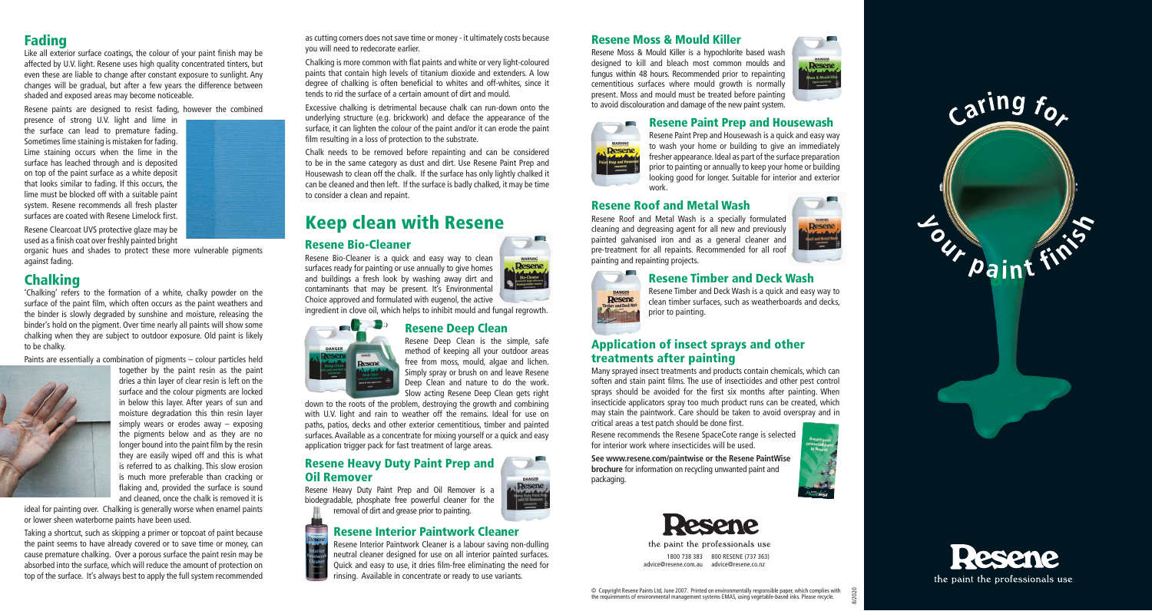## Fading

Like all exterior surface coatings, the colour of your paint finish may be affected by U.V. light. Resene uses high quality concentrated tinters, but even these are liable to change after constant exposure to sunlight. Any changes will be gradual, but after a few years the difference between shaded and exposed areas may become noticeable.

Resene paints are designed to resist fading, however the combined

presence of strong U.V. light and lime in the surface can lead to premature fading. Sometimes lime staining is mistaken for fading. Lime staining occurs when the lime in the surface has leached through and is deposited on top of the paint surface as a white deposit that looks similar to fading. If this occurs, the lime must be blocked off with a suitable paint system. Resene recommends all fresh plaster surfaces are coated with Resene Limelock first.

Resene Clearcoat UVS protective glaze may be used as a finish coat over freshly painted bright

organic hues and shades to protect these more vulnerable pigments against fading.

## Chalking

'Chalking' refers to the formation of a white, chalky powder on the surface of the paint film, which often occurs as the paint weathers and the binder is slowly degraded by sunshine and moisture, releasing the binder's hold on the pigment. Over time nearly all paints will show some chalking when they are subject to outdoor exposure. Old paint is likely to be chalky.

Paints are essentially a combination of pigments – colour particles held



together by the paint resin as the paint dries a thin layer of clear resin is left on the surface and the colour pigments are locked in below this layer. After years of sun and moisture degradation this thin resin layer simply wears or erodes away – exposing the pigments below and as they are no longer bound into the paint film by the resin they are easily wiped off and this is what is referred to as chalking. This slow erosion is much more preferable than cracking or flaking and, provided the surface is sound and cleaned, once the chalk is removed it is

ideal for painting over. Chalking is generally worse when enamel paints or lower sheen waterborne paints have been used.

Taking a shortcut, such as skipping a primer or topcoat of paint because the paint seems to have already covered or to save time or money, can cause premature chalking. Over a porous surface the paint resin may be absorbed into the surface, which will reduce the amount of protection on top of the surface. It's always best to apply the full system recommended

as cutting corners does not save time or money - it ultimately costs because you will need to redecorate earlier.

Chalking is more common with flat paints and white or very light-coloured paints that contain high levels of titanium dioxide and extenders. A low degree of chalking is often beneficial to whites and off-whites, since it tends to rid the surface of a certain amount of dirt and mould.

Excessive chalking is detrimental because chalk can run-down onto the underlying structure (e.g. brickwork) and deface the appearance of the surface, it can lighten the colour of the paint and/or it can erode the paint film resulting in a loss of protection to the substrate.

Chalk needs to be removed before repainting and can be considered to be in the same category as dust and dirt. Use Resene Paint Prep and Housewash to clean off the chalk. If the surface has only lightly chalked it can be cleaned and then left. If the surface is badly chalked, it may be time to consider a clean and repaint.

# Keep clean with Resene

#### Resene Bio-Cleaner

Resene Bio-Cleaner is a quick and easy way to clean surfaces ready for painting or use annually to give homes **Resene** and buildings a fresh look by washing away dirt and contaminants that may be present. It's Environmental Choice approved and formulated with eugenol, the active

ingredient in clove oil, which helps to inhibit mould and fungal regrowth.

**Resene** 

method of keeping all your outdoor areas free from moss, mould, algae and lichen. Simply spray or brush on and leave Resene Deep Clean and nature to do the work. Slow acting Resene Deep Clean gets right

down to the roots of the problem, destroying the growth and combining with U.V. light and rain to weather off the remains. Ideal for use on paths, patios, decks and other exterior cementitious, timber and painted surfaces. Available as a concentrate for mixing yourself or a quick and easy application trigger pack for fast treatment of large areas.

#### Resene Heavy Duty Paint Prep and Oil Remover

Resene Heavy Duty Paint Prep and Oil Remover is a biodegradable, phosphate free powerful cleaner for the removal of dirt and grease prior to painting.

## Resene Interior Paintwork Cleaner

**Resent**<br>Interior<br>Cleaner Resene Interior Paintwork Cleaner is a labour saving non-dulling neutral cleaner designed for use on all interior painted surfaces. Quick and easy to use, it dries film-free eliminating the need for rinsing. Available in concentrate or ready to use variants.

#### Resene Moss & Mould Killer

Resene Moss & Mould Killer is a hypochlorite based wash designed to kill and bleach most common moulds and fungus within 48 hours. Recommended prior to repainting cementitious surfaces where mould growth is normally present. Moss and mould must be treated before painting to avoid discolouration and damage of the new paint system.



**WARNING** Resene concentrate

Resene Paint Prep and Housewash is a quick and easy way to wash your home or building to give an immediately fresher appearance. Ideal as part of the surface preparation prior to painting or annually to keep your home or building looking good for longer. Suitable for interior and exterior work.

Resene

**Resene** 

#### Resene Roof and Metal Wash

Resene Roof and Metal Wash is a specially formulated cleaning and degreasing agent for all new and previously painted galvanised iron and as a general cleaner and pre-treatment for all repaints. Recommended for all roof painting and repainting projects.



## Resene Timber and Deck Wash

Resene Timber and Deck Wash is a quick and easy way to clean timber surfaces, such as weatherboards and decks, prior to painting.



Many sprayed insect treatments and products contain chemicals, which can soften and stain paint films. The use of insecticides and other pest control sprays should be avoided for the first six months after painting. When insecticide applicators spray too much product runs can be created, which may stain the paintwork. Care should be taken to avoid overspray and in critical areas a test patch should be done first.

Resene recommends the Resene SpaceCote range is selected for interior work where insecticides will be used.

**See www.resene.com/paintwise or the Resene PaintWise brochure** for information on recycling unwanted paint and packaging.



the paint the professionals use 1800 738 383 800 RESENE (737 363) advice@resene.com.au advice@resene.co.nz

© Copyright Resene Paints Ltd, June 2007. Printed on environmentally responsible paper, which complies with the requirements of environmental management systems EMAS, using vegetable-based inks. Please recycle.

8/2020





Resene Deep Clean Resene Deep Clean is the simple, safe